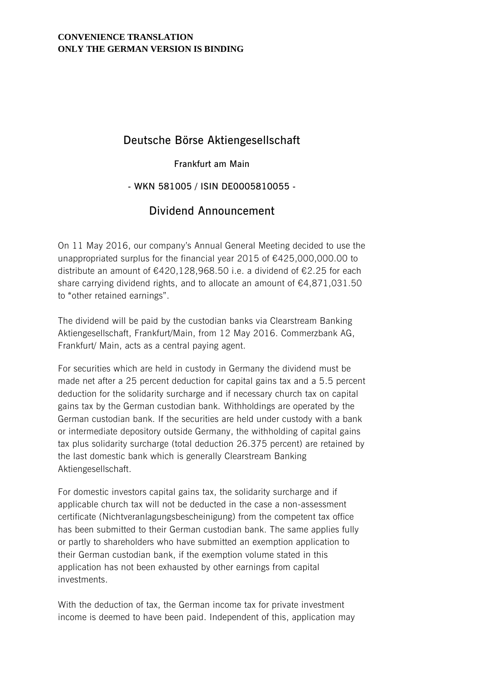#### **CONVENIENCE TRANSLATION ONLY THE GERMAN VERSION IS BINDING**

## **Deutsche Börse Aktiengesellschaft**

#### **Frankfurt am Main**

### **- WKN 581005 / ISIN DE0005810055 -**

# **Dividend Announcement**

On 11 May 2016, our company's Annual General Meeting decided to use the unappropriated surplus for the financial year 2015 of €425,000,000.00 to distribute an amount of €420,128,968.50 i.e. a dividend of €2.25 for each share carrying dividend rights, and to allocate an amount of €4,871,031.50 to "other retained earnings".

The dividend will be paid by the custodian banks via Clearstream Banking Aktiengesellschaft, Frankfurt/Main, from 12 May 2016. Commerzbank AG, Frankfurt/ Main, acts as a central paying agent.

For securities which are held in custody in Germany the dividend must be made net after a 25 percent deduction for capital gains tax and a 5.5 percent deduction for the solidarity surcharge and if necessary church tax on capital gains tax by the German custodian bank. Withholdings are operated by the German custodian bank. If the securities are held under custody with a bank or intermediate depository outside Germany, the withholding of capital gains tax plus solidarity surcharge (total deduction 26.375 percent) are retained by the last domestic bank which is generally Clearstream Banking Aktiengesellschaft.

For domestic investors capital gains tax, the solidarity surcharge and if applicable church tax will not be deducted in the case a non-assessment certificate (Nichtveranlagungsbescheinigung) from the competent tax office has been submitted to their German custodian bank. The same applies fully or partly to shareholders who have submitted an exemption application to their German custodian bank, if the exemption volume stated in this application has not been exhausted by other earnings from capital investments.

With the deduction of tax, the German income tax for private investment income is deemed to have been paid. Independent of this, application may